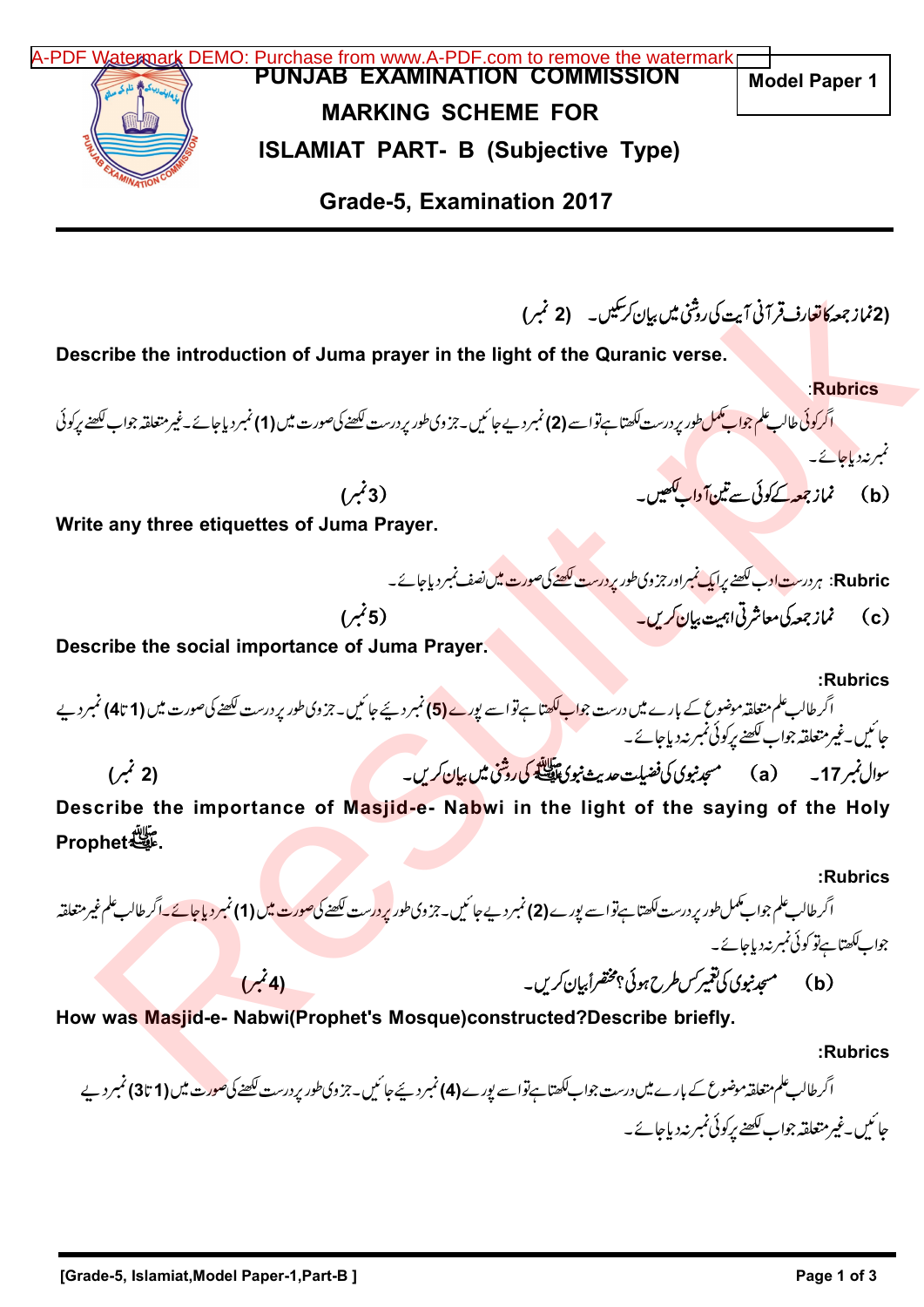PUNJAB EXAMINATION COMMISSION MARKING SCHEME FOR ISLAMIAT PART- B (Subjective Type) Grade-5, Examination 2017 (2نماز جمعه کاتعارف قرآنی آیت کی روشی میں بیان کر سکیں۔ (2 نمبر) Describe the introduction of Juma prayer in the light of the Quranic verse. :Rubrics اگر<mark>کوئی طالب علم جواب کمل</mark> طور پردرست ککھتا ہےتواسے **(2)** نمبر دیے جا ئیں۔جزوی طور پر درست ککھنے کی صورت میں **(1)** نمبر دیا جائے۔غیر متعلقہ جواب ککھنے پرکوئی نمبرنددیاجائے۔ (3 <sup>b</sup> Write any three etiquettes of Juma Prayer. Rubric: ہر درس<u>ت اوب لکھنے پرایک نمبراور جز</u> وی طور پر درست <u>لکھنے کی صورت میں</u> نصف نمبر دیاجائے۔ (c) مُمَازِجِعِيكَ مِعاشِرتِی اِبْہِیتِ بِیان کریں۔ (5 مُبر) (5 مُبر) Describe the social importance of Juma Prayer. :Rubrics اگر طالب علم متعلقہ موضوع کے بارے میں درست جوا<mark>ب ککھتا ہے تو اسے یورے (5</mark>) نمبر دیئے جا ئیں۔جزوی طور پر درست ککھنے کی صورت میں **(1 تا4)** نمبر دیے جائىيں۔غیر متعلقہ جواب لکھنے برکوئی نمبر نہ دیاجائے۔ ( 2) <sup>a</sup> 17 Describe the importance of Masjid-e- Nabwi in the light of the saying of the Holy مَلِينَةِ<br>مِنْهِينَةِ Prophet :Rubrics اگر طالب علم جواب کمل طور پر درست لکھتا ہے تواسے یورے **(2) نمبر** دیے جا ئیں۔جزوی طور <mark>پر در</mark>ست لکھنے <mark>کی صورت می</mark>ں **(1) نمبر دیاجائے۔اگر طالب علم غیر متعاق**بہ جواب ککھتا ہےتو کوئی نمبر نہ دیاجائے۔ (4) <sup>b</sup> How was Masjid-e- Nabwi(Prophet's Mosque)constructed?Describe briefly. :Rubrics اگر طالب علم متعلقہ موضوع کے بارے میں درست جواب ککھتا ہےتواسے پورے **(4)** نمبر دیئے جا ئیں۔جزوی طور پر درست لکھنے کی <mark>صورت میں (1 تا3)</mark> نمبر دیے جائىيں۔غیرمتعلقہ جواب لکھنے برکوئی نمبر نہ دیاجائے۔ Model Paper 1 cribe the introduction of Juma prayer in the light of the Quranic verse.<br>Results and the members of the Suranic verse.<br>Results and the Suranic verse.<br>Results and the estimate of Juma Prayer.<br>Results of Juma Prayer.<br>Resul [A-PDF Watermark DEMO: Purchase from www.A-PDF.com to remove the watermark](http://www.a-pdf.com/?wm-demo)